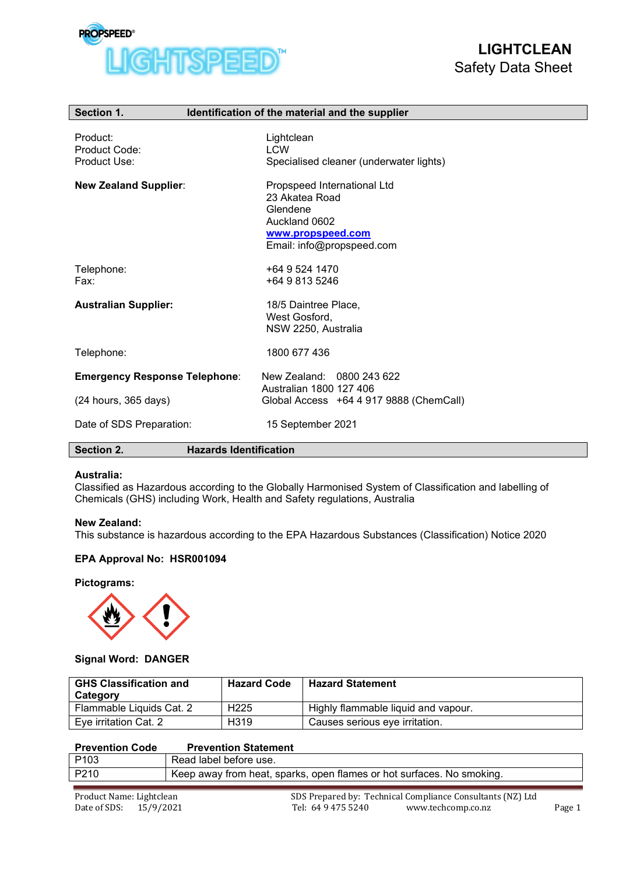

| Section 1.                                | Identification of the material and the supplier                                                                              |
|-------------------------------------------|------------------------------------------------------------------------------------------------------------------------------|
| Product:<br>Product Code:<br>Product Use: | Lightclean<br><b>LCW</b><br>Specialised cleaner (underwater lights)                                                          |
| <b>New Zealand Supplier:</b>              | Propspeed International Ltd<br>23 Akatea Road<br>Glendene<br>Auckland 0602<br>www.propspeed.com<br>Email: info@propspeed.com |
| Telephone:<br>Fax:                        | +64 9 524 1470<br>+64 9 813 5246                                                                                             |
| <b>Australian Supplier:</b>               | 18/5 Daintree Place,<br>West Gosford,<br>NSW 2250, Australia                                                                 |
| Telephone:                                | 1800 677 436                                                                                                                 |
| <b>Emergency Response Telephone:</b>      | New Zealand: 0800 243 622<br>Australian 1800 127 406                                                                         |
| $(24$ hours, $365$ days)                  | Global Access +64 4 917 9888 (ChemCall)                                                                                      |
| Date of SDS Preparation:                  | 15 September 2021                                                                                                            |
| Section 2.                                | <b>Hazards Identification</b>                                                                                                |

## **Australia:**

Classified as Hazardous according to the Globally Harmonised System of Classification and labelling of Chemicals (GHS) including Work, Health and Safety regulations, Australia

#### **New Zealand:**

This substance is hazardous according to the EPA Hazardous Substances (Classification) Notice 2020

## **EPA Approval No: HSR001094**

#### **Pictograms:**



## **Signal Word: DANGER**

| <b>GHS Classification and</b><br>Category | <b>Hazard Code</b> | <b>Hazard Statement</b>             |
|-------------------------------------------|--------------------|-------------------------------------|
| Flammable Liquids Cat. 2                  | H <sub>225</sub>   | Highly flammable liquid and vapour. |
| Eye irritation Cat. 2                     | H <sub>3</sub> 19  | Causes serious eye irritation.      |

## **Prevention Code Prevention Statement**

| P <sub>103</sub> | Read label before use.                                                  |
|------------------|-------------------------------------------------------------------------|
| P210             | ' Keep away from heat, sparks, open flames or hot surfaces. No smoking. |
|                  |                                                                         |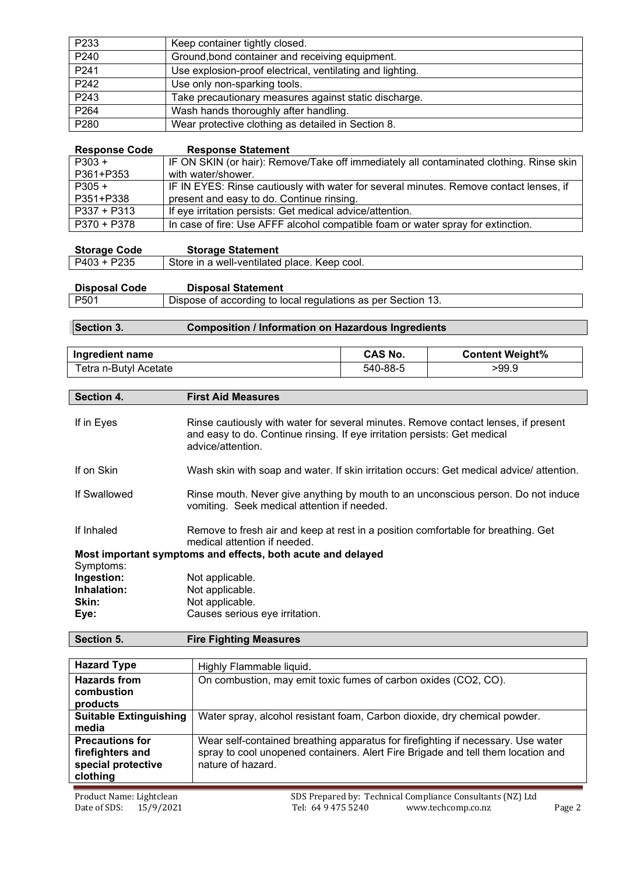| P233 | Keep container tightly closed.                            |
|------|-----------------------------------------------------------|
| P240 | Ground, bond container and receiving equipment.           |
| P241 | Use explosion-proof electrical, ventilating and lighting. |
| P242 | Use only non-sparking tools.                              |
| P243 | Take precautionary measures against static discharge.     |
| P264 | Wash hands thoroughly after handling.                     |
| P280 | Wear protective clothing as detailed in Section 8.        |

| <b>Response Code</b> | <b>Response Statement</b>                                                               |
|----------------------|-----------------------------------------------------------------------------------------|
| $P303 +$             | IF ON SKIN (or hair): Remove/Take off immediately all contaminated clothing. Rinse skin |
| P361+P353            | with water/shower.                                                                      |
| $P305 +$             | IF IN EYES: Rinse cautiously with water for several minutes. Remove contact lenses, if  |
| P351+P338            | present and easy to do. Continue rinsing.                                               |
| $P337 + P313$        | If eye irritation persists: Get medical advice/attention.                               |
| P370 + P378          | In case of fire: Use AFFF alcohol compatible foam or water spray for extinction.        |

| <b>Storage Code</b> | <b>Storage Statement</b>                     |
|---------------------|----------------------------------------------|
| P403 + P235         | Store in a well-ventilated place. Keep cool. |

| <b>Disposal Code</b> | <b>Disposal Statement</b>                                    |
|----------------------|--------------------------------------------------------------|
| P501                 | Dispose of according to local regulations as per Section 13. |

# **Section 3. Composition / Information on Hazardous Ingredients**

| Ingredient name       | CAS No.  | <b>Content Weight%</b> |
|-----------------------|----------|------------------------|
| Tetra n-Butyl Acetate | 540-88-5 | >99.9                  |

# **Section 4. First Aid Measures**

| If in Eyes   | Rinse cautiously with water for several minutes. Remove contact lenses, if present<br>and easy to do. Continue rinsing. If eye irritation persists: Get medical<br>advice/attention. |
|--------------|--------------------------------------------------------------------------------------------------------------------------------------------------------------------------------------|
| If on Skin   | Wash skin with soap and water. If skin irritation occurs: Get medical advice/ attention.                                                                                             |
| If Swallowed | Rinse mouth. Never give anything by mouth to an unconscious person. Do not induce<br>vomiting. Seek medical attention if needed.                                                     |
| If Inhaled   | Remove to fresh air and keep at rest in a position comfortable for breathing. Get<br>medical attention if needed.<br>Most important symptoms and effects, both acute and delayed     |
| Symptoms:    |                                                                                                                                                                                      |
| Ingestion:   | Not applicable.                                                                                                                                                                      |
| Inhalation:  | Not applicable.                                                                                                                                                                      |
| Skin:        | Not applicable.                                                                                                                                                                      |
| Eye:         | Causes serious eye irritation.                                                                                                                                                       |

**Section 5. Fire Fighting Measures**

| <b>Hazard Type</b>                                                           | Highly Flammable liquid.                                                                                                                                                                  |
|------------------------------------------------------------------------------|-------------------------------------------------------------------------------------------------------------------------------------------------------------------------------------------|
| <b>Hazards from</b><br>combustion<br>products                                | On combustion, may emit toxic fumes of carbon oxides (CO2, CO).                                                                                                                           |
| <b>Suitable Extinguishing</b><br>media                                       | Water spray, alcohol resistant foam, Carbon dioxide, dry chemical powder.                                                                                                                 |
| <b>Precautions for</b><br>firefighters and<br>special protective<br>clothing | Wear self-contained breathing apparatus for firefighting if necessary. Use water<br>spray to cool unopened containers. Alert Fire Brigade and tell them location and<br>nature of hazard. |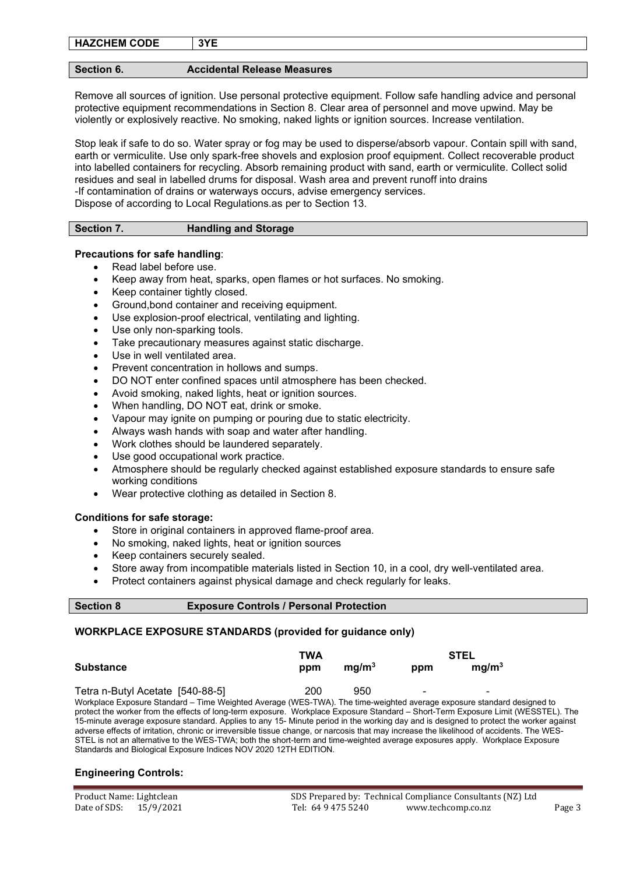| <b>HAZCHEM CODE</b> | 3YE |
|---------------------|-----|
|---------------------|-----|

## **Section 6. Accidental Release Measures**

Remove all sources of ignition. Use personal protective equipment. Follow safe handling advice and personal protective equipment recommendations in Section 8. Clear area of personnel and move upwind. May be violently or explosively reactive. No smoking, naked lights or ignition sources. Increase ventilation.

Stop leak if safe to do so. Water spray or fog may be used to disperse/absorb vapour. Contain spill with sand, earth or vermiculite. Use only spark-free shovels and explosion proof equipment. Collect recoverable product into labelled containers for recycling. Absorb remaining product with sand, earth or vermiculite. Collect solid residues and seal in labelled drums for disposal. Wash area and prevent runoff into drains -If contamination of drains or waterways occurs, advise emergency services. Dispose of according to Local Regulations.as per to Section 13.

# **Section 7. Handling and Storage**

# **Precautions for safe handling**:

- Read label before use.
- Keep away from heat, sparks, open flames or hot surfaces. No smoking.
- Keep container tightly closed.
- Ground,bond container and receiving equipment.
- Use explosion-proof electrical, ventilating and lighting.
- Use only non-sparking tools.
- Take precautionary measures against static discharge.
- Use in well ventilated area.
- Prevent concentration in hollows and sumps.
- DO NOT enter confined spaces until atmosphere has been checked.
- Avoid smoking, naked lights, heat or ignition sources.
- When handling, DO NOT eat, drink or smoke.
- Vapour may ignite on pumping or pouring due to static electricity.
- Always wash hands with soap and water after handling.
- Work clothes should be laundered separately.
- Use good occupational work practice.
- Atmosphere should be regularly checked against established exposure standards to ensure safe working conditions
- Wear protective clothing as detailed in Section 8.

## **Conditions for safe storage:**

- Store in original containers in approved flame-proof area.
- No smoking, naked lights, heat or ignition sources

Standards and Biological Exposure Indices NOV 2020 12TH EDITION.

- Keep containers securely sealed.
- Store away from incompatible materials listed in Section 10, in a cool, dry well-ventilated area.
- Protect containers against physical damage and check regularly for leaks.

| <b>Section 8</b> |  |
|------------------|--|
|------------------|--|

## **Exposure Controls / Personal Protection**

# **WORKPLACE EXPOSURE STANDARDS (provided for guidance only)**

| TWA                                                                                                                                                                                                                                                         |     |                   | <b>STEL</b> |                   |  |
|-------------------------------------------------------------------------------------------------------------------------------------------------------------------------------------------------------------------------------------------------------------|-----|-------------------|-------------|-------------------|--|
| <b>Substance</b>                                                                                                                                                                                                                                            | ppm | mq/m <sup>3</sup> | ppm         | mq/m <sup>3</sup> |  |
| Tetra n-Butyl Acetate [540-88-5]                                                                                                                                                                                                                            | 200 | 950               |             |                   |  |
| Workplace Exposure Standard – Time Weighted Average (WES-TWA). The time-weighted average exposure standard designed to<br>protect the worker from the effects of long-term exposure. Workplace Exposure Standard – Short-Term Exposure Limit (WESSTEL). The |     |                   |             |                   |  |
| 15-minute average exposure standard. Applies to any 15-Minute period in the working day and is designed to protect the worker against                                                                                                                       |     |                   |             |                   |  |
| adverse effects of irritation, chronic or irreversible tissue change, or narcosis that may increase the likelihood of accidents. The WES-                                                                                                                   |     |                   |             |                   |  |
| STEL is not an alternative to the WES-TWA; both the short-term and time-weighted average exposures apply. Workplace Exposure                                                                                                                                |     |                   |             |                   |  |

# **Engineering Controls:**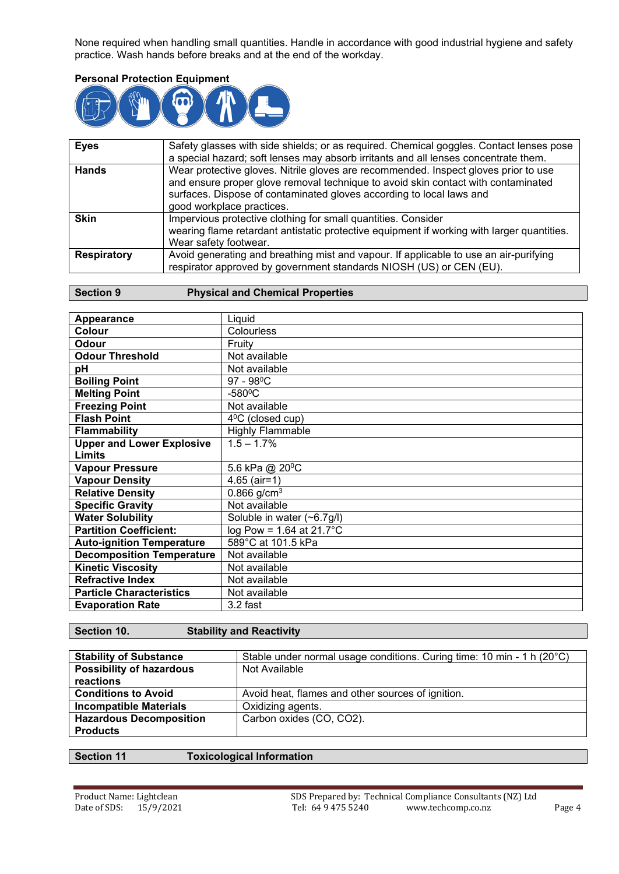None required when handling small quantities. Handle in accordance with good industrial hygiene and safety practice. Wash hands before breaks and at the end of the workday.

# **Personal Protection Equipment**



| <b>Eyes</b>        | Safety glasses with side shields; or as required. Chemical goggles. Contact lenses pose<br>a special hazard; soft lenses may absorb irritants and all lenses concentrate them.                                                                                                |
|--------------------|-------------------------------------------------------------------------------------------------------------------------------------------------------------------------------------------------------------------------------------------------------------------------------|
|                    |                                                                                                                                                                                                                                                                               |
| <b>Hands</b>       | Wear protective gloves. Nitrile gloves are recommended. Inspect gloves prior to use<br>and ensure proper glove removal technique to avoid skin contact with contaminated<br>surfaces. Dispose of contaminated gloves according to local laws and<br>good workplace practices. |
| <b>Skin</b>        | Impervious protective clothing for small quantities. Consider                                                                                                                                                                                                                 |
|                    | wearing flame retardant antistatic protective equipment if working with larger quantities.<br>Wear safety footwear.                                                                                                                                                           |
| <b>Respiratory</b> | Avoid generating and breathing mist and vapour. If applicable to use an air-purifying                                                                                                                                                                                         |
|                    | respirator approved by government standards NIOSH (US) or CEN (EU).                                                                                                                                                                                                           |

# **Section 9 Physical and Chemical Properties**

| Appearance                       | Liquid                     |
|----------------------------------|----------------------------|
| <b>Colour</b>                    | <b>Colourless</b>          |
| <b>Odour</b>                     | Fruity                     |
| <b>Odour Threshold</b>           | Not available              |
| рH                               | Not available              |
| <b>Boiling Point</b>             | $97 - 98^{\circ}$ C        |
| <b>Melting Point</b>             | $-580$ <sup>o</sup> C      |
| <b>Freezing Point</b>            | Not available              |
| <b>Flash Point</b>               | $4^{\circ}$ C (closed cup) |
| <b>Flammability</b>              | <b>Highly Flammable</b>    |
| <b>Upper and Lower Explosive</b> | $1.5 - 1.7\%$              |
| Limits                           |                            |
| <b>Vapour Pressure</b>           | 5.6 kPa @ 20°C             |
| <b>Vapour Density</b>            | $4.65$ (air=1)             |
| <b>Relative Density</b>          | 0.866 $g/cm^{3}$           |
| <b>Specific Gravity</b>          | Not available              |
| <b>Water Solubility</b>          | Soluble in water (~6.7g/l) |
| <b>Partition Coefficient:</b>    | $log Pow = 1.64$ at 21.7°C |
| <b>Auto-ignition Temperature</b> | 589°C at 101.5 kPa         |
| <b>Decomposition Temperature</b> | Not available              |
| <b>Kinetic Viscosity</b>         | Not available              |
| <b>Refractive Index</b>          | Not available              |
| <b>Particle Characteristics</b>  | Not available              |
| <b>Evaporation Rate</b>          | 3.2 fast                   |

| <b>Stability of Substance</b>   | Stable under normal usage conditions. Curing time: 10 min - 1 h (20°C) |
|---------------------------------|------------------------------------------------------------------------|
| <b>Possibility of hazardous</b> | Not Available                                                          |
| reactions                       |                                                                        |
| <b>Conditions to Avoid</b>      | Avoid heat, flames and other sources of ignition.                      |
| <b>Incompatible Materials</b>   | Oxidizing agents.                                                      |
| <b>Hazardous Decomposition</b>  | Carbon oxides (CO, CO2).                                               |
| <b>Products</b>                 |                                                                        |

**Section 11 Toxicological Information**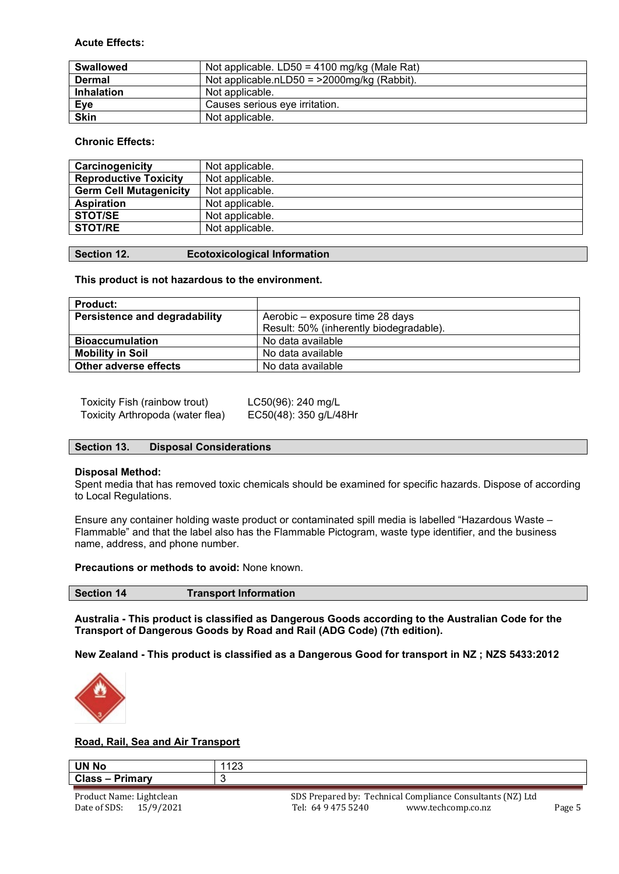# **Acute Effects:**

| <b>Swallowed</b>  | Not applicable. $LD50 = 4100$ mg/kg (Male Rat) |
|-------------------|------------------------------------------------|
| <b>Dermal</b>     | Not applicable.nLD50 = $>$ 2000mg/kg (Rabbit). |
| <b>Inhalation</b> | Not applicable.                                |
| Eye               | Causes serious eye irritation.                 |
| <b>Skin</b>       | Not applicable.                                |

# **Chronic Effects:**

| Carcinogenicity               | Not applicable. |
|-------------------------------|-----------------|
| <b>Reproductive Toxicity</b>  | Not applicable. |
| <b>Germ Cell Mutagenicity</b> | Not applicable. |
| <b>Aspiration</b>             | Not applicable. |
| <b>STOT/SE</b>                | Not applicable. |
| <b>STOT/RE</b>                | Not applicable. |
|                               |                 |

**Section 12. Ecotoxicological Information**

## **This product is not hazardous to the environment.**

| <b>Product:</b>                      |                                         |
|--------------------------------------|-----------------------------------------|
| <b>Persistence and degradability</b> | Aerobic – exposure time 28 days         |
|                                      | Result: 50% (inherently biodegradable). |
| <b>Bioaccumulation</b>               | No data available                       |
| <b>Mobility in Soil</b>              | No data available                       |
| Other adverse effects                | No data available                       |

| Toxicity Fish (rainbow trout)    | LC50(96): 240 mg/L     |
|----------------------------------|------------------------|
| Toxicity Arthropoda (water flea) | EC50(48): 350 g/L/48Hr |

## **Section 13. Disposal Considerations**

## **Disposal Method:**

Spent media that has removed toxic chemicals should be examined for specific hazards. Dispose of according to Local Regulations.

Ensure any container holding waste product or contaminated spill media is labelled "Hazardous Waste – Flammable" and that the label also has the Flammable Pictogram, waste type identifier, and the business name, address, and phone number.

## **Precautions or methods to avoid:** None known.

| <b>Section 14</b> | <b>Transport Information</b> |
|-------------------|------------------------------|
|                   |                              |

**Australia - This product is classified as Dangerous Goods according to the Australian Code for the Transport of Dangerous Goods by Road and Rail (ADG Code) (7th edition).**

**New Zealand - This product is classified as a Dangerous Good for transport in NZ ; NZS 5433:2012**



## **Road, Rail, Sea and Air Transport**

| <b>UN No</b>                    | $\sqrt{2}$<br>ں ے ا                       |
|---------------------------------|-------------------------------------------|
| Class-<br>Drimarv<br>. Hiliai v |                                           |
| ____<br>____                    | _____<br>$ -$<br>____<br>$\sim$<br>$\sim$ |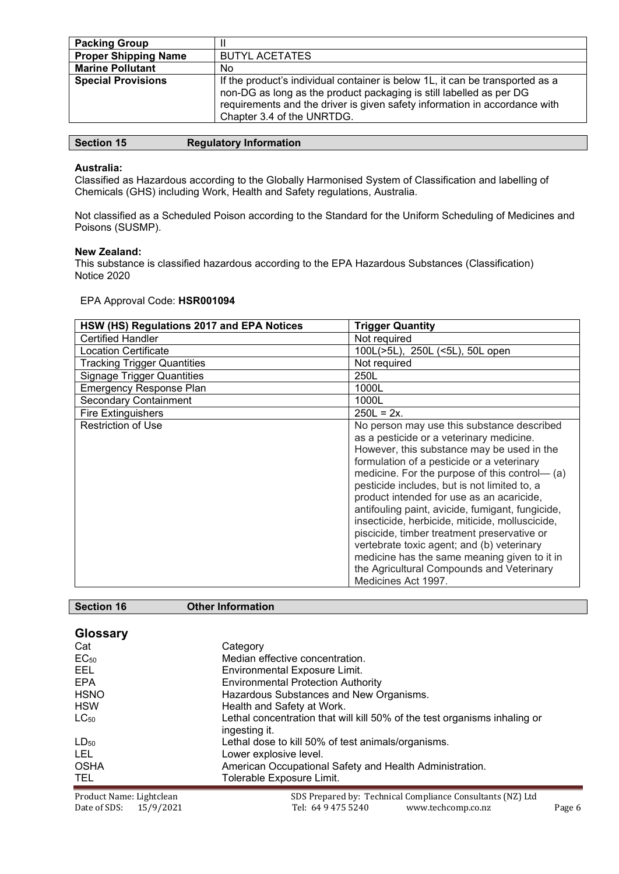| <b>Packing Group</b>        |                                                                                                                                                                                                                                                                  |
|-----------------------------|------------------------------------------------------------------------------------------------------------------------------------------------------------------------------------------------------------------------------------------------------------------|
| <b>Proper Shipping Name</b> | <b>BUTYL ACETATES</b>                                                                                                                                                                                                                                            |
| <b>Marine Pollutant</b>     | No                                                                                                                                                                                                                                                               |
| <b>Special Provisions</b>   | If the product's individual container is below 1L, it can be transported as a<br>non-DG as long as the product packaging is still labelled as per DG<br>requirements and the driver is given safety information in accordance with<br>Chapter 3.4 of the UNRTDG. |

| <b>Section 15</b><br><b>Regulatory Information</b> |  |
|----------------------------------------------------|--|
|----------------------------------------------------|--|

# **Australia:**

Classified as Hazardous according to the Globally Harmonised System of Classification and labelling of Chemicals (GHS) including Work, Health and Safety regulations, Australia.

Not classified as a Scheduled Poison according to the Standard for the Uniform Scheduling of Medicines and Poisons (SUSMP).

## **New Zealand:**

This substance is classified hazardous according to the EPA Hazardous Substances (Classification) Notice 2020

# EPA Approval Code: **HSR001094**

| HSW (HS) Regulations 2017 and EPA Notices | <b>Trigger Quantity</b>                                                                                                                                                                                                                                                                                                                                                                                                                                                                                                                                                                                                                                   |
|-------------------------------------------|-----------------------------------------------------------------------------------------------------------------------------------------------------------------------------------------------------------------------------------------------------------------------------------------------------------------------------------------------------------------------------------------------------------------------------------------------------------------------------------------------------------------------------------------------------------------------------------------------------------------------------------------------------------|
| <b>Certified Handler</b>                  | Not required                                                                                                                                                                                                                                                                                                                                                                                                                                                                                                                                                                                                                                              |
| Location Certificate                      | 100L(>5L), 250L (<5L), 50L open                                                                                                                                                                                                                                                                                                                                                                                                                                                                                                                                                                                                                           |
| <b>Tracking Trigger Quantities</b>        | Not required                                                                                                                                                                                                                                                                                                                                                                                                                                                                                                                                                                                                                                              |
| <b>Signage Trigger Quantities</b>         | 250L                                                                                                                                                                                                                                                                                                                                                                                                                                                                                                                                                                                                                                                      |
| <b>Emergency Response Plan</b>            | 1000L                                                                                                                                                                                                                                                                                                                                                                                                                                                                                                                                                                                                                                                     |
| <b>Secondary Containment</b>              | 1000L                                                                                                                                                                                                                                                                                                                                                                                                                                                                                                                                                                                                                                                     |
| <b>Fire Extinguishers</b>                 | $250L = 2x$ .                                                                                                                                                                                                                                                                                                                                                                                                                                                                                                                                                                                                                                             |
| <b>Restriction of Use</b>                 | No person may use this substance described<br>as a pesticide or a veterinary medicine.<br>However, this substance may be used in the<br>formulation of a pesticide or a veterinary<br>medicine. For the purpose of this control— (a)<br>pesticide includes, but is not limited to, a<br>product intended for use as an acaricide,<br>antifouling paint, avicide, fumigant, fungicide,<br>insecticide, herbicide, miticide, molluscicide,<br>piscicide, timber treatment preservative or<br>vertebrate toxic agent; and (b) veterinary<br>medicine has the same meaning given to it in<br>the Agricultural Compounds and Veterinary<br>Medicines Act 1997. |

**Section 16 Other Information**

| <b>Glossary</b>          |                                                                                            |
|--------------------------|--------------------------------------------------------------------------------------------|
| Cat                      | Category                                                                                   |
| EC <sub>50</sub>         | Median effective concentration.                                                            |
| EEL                      | <b>Environmental Exposure Limit.</b>                                                       |
| <b>EPA</b>               | <b>Environmental Protection Authority</b>                                                  |
| <b>HSNO</b>              | Hazardous Substances and New Organisms.                                                    |
| <b>HSW</b>               | Health and Safety at Work.                                                                 |
| $LC_{50}$                | Lethal concentration that will kill 50% of the test organisms inhaling or<br>ingesting it. |
| $LD_{50}$                | Lethal dose to kill 50% of test animals/organisms.                                         |
| LEL.                     | Lower explosive level.                                                                     |
| <b>OSHA</b>              | American Occupational Safety and Health Administration.                                    |
| TEL.                     | Tolerable Exposure Limit.                                                                  |
| Product Name: Lightclean | SDS Prepared by: Technical Compliance Consultants (NZ) Ltd                                 |